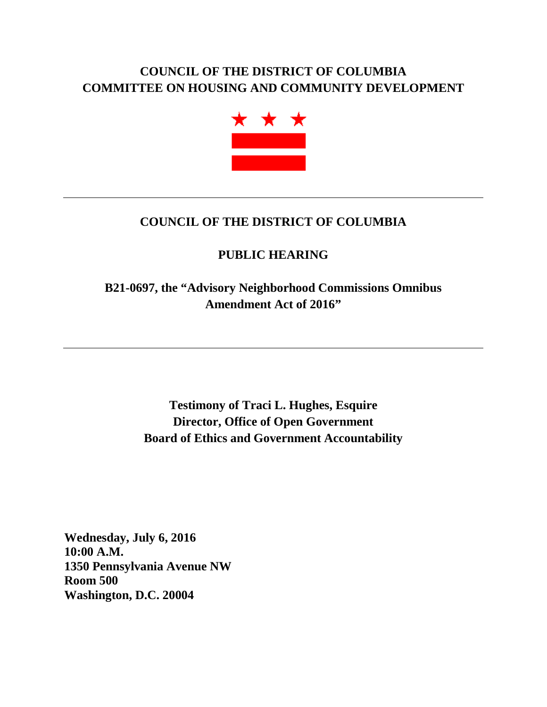# **COUNCIL OF THE DISTRICT OF COLUMBIA COMMITTEE ON HOUSING AND COMMUNITY DEVELOPMENT**



# **COUNCIL OF THE DISTRICT OF COLUMBIA**

# **PUBLIC HEARING**

**B21-0697, the "Advisory Neighborhood Commissions Omnibus Amendment Act of 2016"**

> **Testimony of Traci L. Hughes, Esquire Director, Office of Open Government Board of Ethics and Government Accountability**

**Wednesday, July 6, 2016 10:00 A.M. 1350 Pennsylvania Avenue NW Room 500 Washington, D.C. 20004**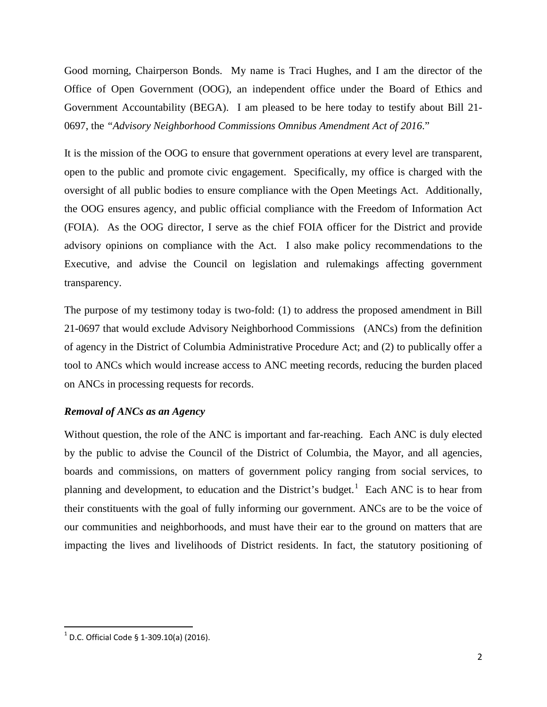Good morning, Chairperson Bonds. My name is Traci Hughes, and I am the director of the Office of Open Government (OOG), an independent office under the Board of Ethics and Government Accountability (BEGA). I am pleased to be here today to testify about Bill 21- 0697, the *"Advisory Neighborhood Commissions Omnibus Amendment Act of 2016*."

It is the mission of the OOG to ensure that government operations at every level are transparent, open to the public and promote civic engagement. Specifically, my office is charged with the oversight of all public bodies to ensure compliance with the Open Meetings Act. Additionally, the OOG ensures agency, and public official compliance with the Freedom of Information Act (FOIA). As the OOG director, I serve as the chief FOIA officer for the District and provide advisory opinions on compliance with the Act. I also make policy recommendations to the Executive, and advise the Council on legislation and rulemakings affecting government transparency.

The purpose of my testimony today is two-fold: (1) to address the proposed amendment in Bill 21-0697 that would exclude Advisory Neighborhood Commissions (ANCs) from the definition of agency in the District of Columbia Administrative Procedure Act; and (2) to publically offer a tool to ANCs which would increase access to ANC meeting records, reducing the burden placed on ANCs in processing requests for records.

#### *Removal of ANCs as an Agency*

Without question, the role of the ANC is important and far-reaching. Each ANC is duly elected by the public to advise the Council of the District of Columbia, the Mayor, and all agencies, boards and commissions, on matters of government policy ranging from social services, to planning and development, to education and the District's budget.<sup>[1](#page-1-0)</sup> Each ANC is to hear from their constituents with the goal of fully informing our government. ANCs are to be the voice of our communities and neighborhoods, and must have their ear to the ground on matters that are impacting the lives and livelihoods of District residents. In fact, the statutory positioning of

<span id="page-1-0"></span> $1$  D.C. Official Code § 1-309.10(a) (2016).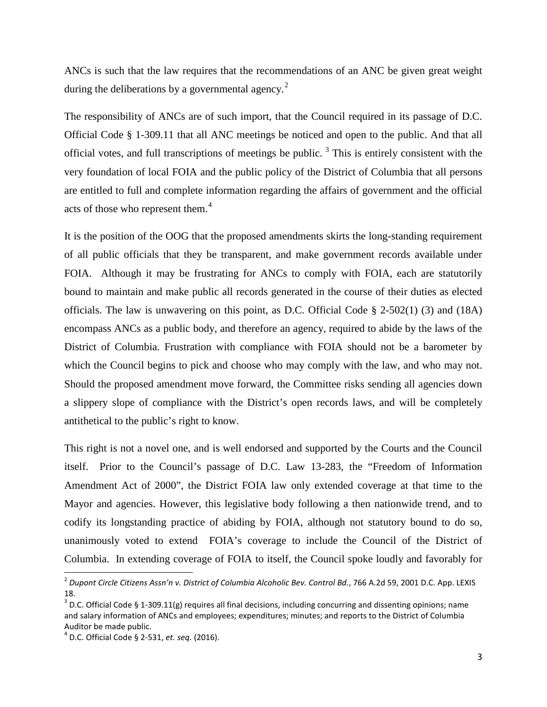ANCs is such that the law requires that the recommendations of an ANC be given great weight during the deliberations by a governmental agency.<sup>[2](#page-2-0)</sup>

The responsibility of ANCs are of such import, that the Council required in its passage of D.C. Official Code § 1-309.11 that all ANC meetings be noticed and open to the public. And that all official votes, and full transcriptions of meetings be public.<sup>[3](#page-2-1)</sup> This is entirely consistent with the very foundation of local FOIA and the public policy of the District of Columbia that all persons are entitled to full and complete information regarding the affairs of government and the official acts of those who represent them.<sup>[4](#page-2-2)</sup>

It is the position of the OOG that the proposed amendments skirts the long-standing requirement of all public officials that they be transparent, and make government records available under FOIA. Although it may be frustrating for ANCs to comply with FOIA, each are statutorily bound to maintain and make public all records generated in the course of their duties as elected officials. The law is unwavering on this point, as D.C. Official Code § 2-502(1) (3) and (18A) encompass ANCs as a public body, and therefore an agency, required to abide by the laws of the District of Columbia. Frustration with compliance with FOIA should not be a barometer by which the Council begins to pick and choose who may comply with the law, and who may not. Should the proposed amendment move forward, the Committee risks sending all agencies down a slippery slope of compliance with the District's open records laws, and will be completely antithetical to the public's right to know.

This right is not a novel one, and is well endorsed and supported by the Courts and the Council itself. Prior to the Council's passage of D.C. Law 13-283, the "Freedom of Information Amendment Act of 2000", the District FOIA law only extended coverage at that time to the Mayor and agencies. However, this legislative body following a then nationwide trend, and to codify its longstanding practice of abiding by FOIA, although not statutory bound to do so, unanimously voted to extend FOIA's coverage to include the Council of the District of Columbia. In extending coverage of FOIA to itself, the Council spoke loudly and favorably for

<span id="page-2-0"></span> <sup>2</sup> *Dupont Circle Citizens Assn'n v. District of Columbia Alcoholic Bev. Control Bd.*, 766 A.2d 59, 2001 D.C. App. LEXIS 18.

<span id="page-2-1"></span> $3$  D.C. Official Code § 1-309.11(g) requires all final decisions, including concurring and dissenting opinions; name and salary information of ANCs and employees; expenditures; minutes; and reports to the District of Columbia Auditor be made public.

<span id="page-2-2"></span><sup>4</sup> D.C. Official Code § 2-531, *et. seq.* (2016).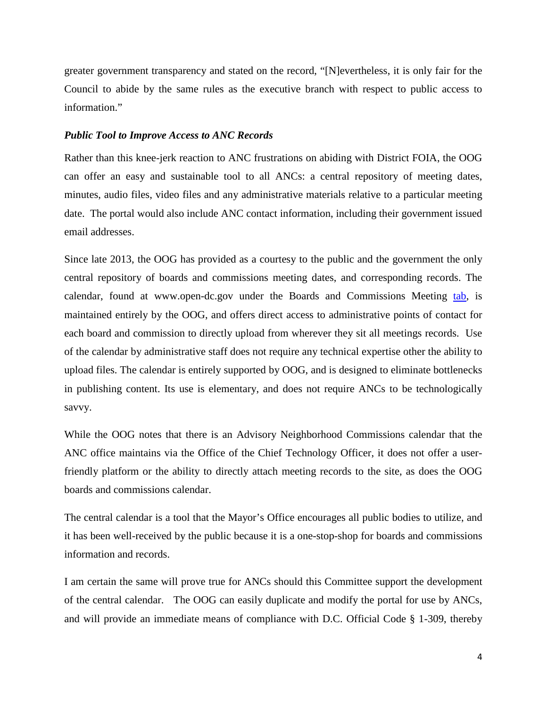greater government transparency and stated on the record, "[N]evertheless, it is only fair for the Council to abide by the same rules as the executive branch with respect to public access to information."

#### *Public Tool to Improve Access to ANC Records*

Rather than this knee-jerk reaction to ANC frustrations on abiding with District FOIA, the OOG can offer an easy and sustainable tool to all ANCs: a central repository of meeting dates, minutes, audio files, video files and any administrative materials relative to a particular meeting date. The portal would also include ANC contact information, including their government issued email addresses.

Since late 2013, the OOG has provided as a courtesy to the public and the government the only central repository of boards and commissions meeting dates, and corresponding records. The calendar, found at www.open-dc.gov under the Boards and Commissions Meeting [tab,](http://www.open-dc.gov/public-bodies/meetings) is maintained entirely by the OOG, and offers direct access to administrative points of contact for each board and commission to directly upload from wherever they sit all meetings records. Use of the calendar by administrative staff does not require any technical expertise other the ability to upload files. The calendar is entirely supported by OOG, and is designed to eliminate bottlenecks in publishing content. Its use is elementary, and does not require ANCs to be technologically savvy.

While the OOG notes that there is an Advisory Neighborhood Commissions calendar that the ANC office maintains via the Office of the Chief Technology Officer, it does not offer a userfriendly platform or the ability to directly attach meeting records to the site, as does the OOG boards and commissions calendar.

The central calendar is a tool that the Mayor's Office encourages all public bodies to utilize, and it has been well-received by the public because it is a one-stop-shop for boards and commissions information and records.

I am certain the same will prove true for ANCs should this Committee support the development of the central calendar. The OOG can easily duplicate and modify the portal for use by ANCs, and will provide an immediate means of compliance with D.C. Official Code § 1-309, thereby